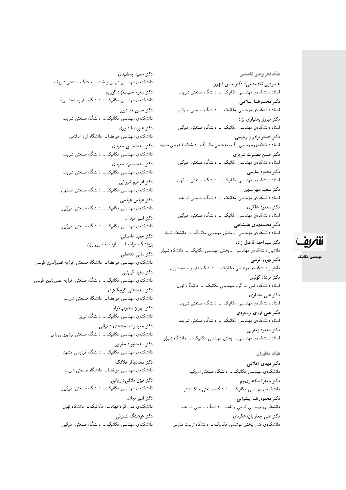هیأت تحریریهی تخصصی

• سردبير تخصصي: دكتر حسن ظهور استاد دانشکدهی مهندسی مکانیک <mark>– دانشگاه صنعتی شریف</mark> دكتر محمدرضا اسلامى استاد دانشکدهی مهندسی مکانیک <mark>– دانشگاه صنعتی امیرکبیر</mark> دکتر فیروز بختیار*ی* نژاد استاد دانشکدهی مهندسی مکانیک <mark>ـ دانشگاه صنعتی امیرکبیر</mark> دكتر اصغر برادران رحيمي استاد دانشکدهی مهندسی ـ گروه مهندسی مکانیک ـ دانشگاه فردوسی مشهد دكتر حسن بصيرت تبريزي استاد دانشکدهی مهندسی مکانیک - دانشگاه صنعتی امیرکبیر دكتر محمود سليمي استاد دانشکدهی مهندسی مکانیک - دانشگاه صنعتی اصفهان دكتر سعيد سهرابپور استاد دانشکدهی مهندسی مکانیک <mark>– دانشگاه صنعتی شریف</mark> دكتر محمود شاكرى استاد دانشکدهی مهندسی مکانیک \_ دانشگاه صنعتی امیرکبیر دکتر محمدمهدی علیشاهی استاد دانشکدهی مهندسی <mark>ـ بخش مهندسی مکانیک ـ دانشگاه شیراز</mark> دكتر سيداحمد فاضل زاده دانشیار دانشکدهی مهندسی – بخش مهندسی مکانیک – دانشگاه شیراز

دكتر بهروز فرشى دانشیار دانشکدهی مهندسی مکانیک \_ دانشگاه علم و صنعت ایران دکتر فرشاد کوثر*ی* استاد دانشکده فنبی ــ گروه مهندسی مکانیک ــ دانشگاه تهران دکتر عل*ی* مقداری استاد دانشکدهی مهندسی مکانیک - دانشگاه صنعتی شریف دکتر علی نوری بروجردی استاد دانشکدهی مهندسی مکانیک <mark>ـ دانشگاه صنعتی شریف</mark> دكتر محمود يعقوبي استاد دانشکدهی مهندسی ــ بخش مهندسی مکانیک ــ دانشگاه شیراز

#### هيأت مشاوران

دكتر مهدى اخلاقي دانشکدهی مهندسی مکانیک ــ دانشگاه صنعتی امیرکبیر دكتر جعفر اسكندري *ج*م دانشکدهی مهندسی مکانیک ــ دانشگاه صنعتبی مالک|شتر دكتر محمودرضا پيشوايي دانشکدهی مهندسی شیمی و نفت ـــ دانشگاه صنعتبی شریف دکتر علمی جعفریان**دهکردی** دانشکدهی فنی، بخش مهندسی مکانیک ـــ دانشگاه تربیت مدرس

دکتر سعید حمشیدی دانشکدهی مهندسی شیمی و نفت ــ دانشگاه صنعتبی شریف دكتر محرم حبيبنژاد كورايم دانشکدهی مهندسی مکانیک ــ دانشگاه علموصنعت ایران دكتر حسن حدادپور دانشکدهی مهندسی مکانیک ــ دانشگاه صنعتی شریف دكتر عليرضا داورى دانشکدهی مهندسی هوافضا ـــ دانشگاه آزاد اسلامی دكتر محمدحسن سعيدى دانشکدهی مهندسی مکانیک ــ دانشگاه صنعتی شریف دكتر محمدسعيد سعيدى دانشکدهی مهندسی مکانیک ــ دانشگاه صنعتی شریف دكتر ابراهيم شيراني دانشکدهی مهندسی مکانیک ــ دانشگاه صنعتی اصفهان دكتر عباس عباسى دانشکدهی مهندسی مکانیک ــ دانشگاه صنعتی امیرکبیر دكتر امير عبدا... دانشکدهی مهندسی مکانیک ــ دانشگاه صنعتی امیرکبیر دكتر حميد فاضلبي پژوهشگاه هوافضا ــ سازمان فضایبی ایران دكتر مانى فتحعلى دانشکده ی مهندسی هوافضا ــ دانشگاه صنعتی خواجه نصیرالدین طوسی دكتر مجيد قريشي دانشکدهی مهندسی مکانیک ــ دانشگاه صنعتی خواجه نصیرالدین طوسی دکتر محمدعلی کوچک زاده دانشکدهی مهندسی هوافضا ــ دانشگاه صنعتی شریف دكتر مهران محبوبخواه دانشکدهی مهندسی مکانیک ــ دانشگاه تبریز دكتر حميدرضا محمدى دانيالى دانشکدهی مهندسی مکانیک ــ دانشگاه صنعتی نوشیروانی بابل دكتر محمدجواد مغرببي دانشکدهی مهندسی مکانیک ــ دانشگاه فردوسی مشهد دكتر محمدباقر ملائك دانشکدهی مهندسی هوافضا ــ دانشگاه صنعتی شریف دكتر بيژن ملائي دارياني دانشکدهی مهندسی مکانیک ــ دانشگاه صنعتی امیرکبیر دكتر امير نجات دانشکدهی فنبی،گروه مهندسی مکانیک ــ دانشگاه تهبان دکتر هوشنگ نصرتی دانشکدهی مهندسی مکانیک ــ دانشگاه صنعتی امیرکبیر



مهندسی مکانیک